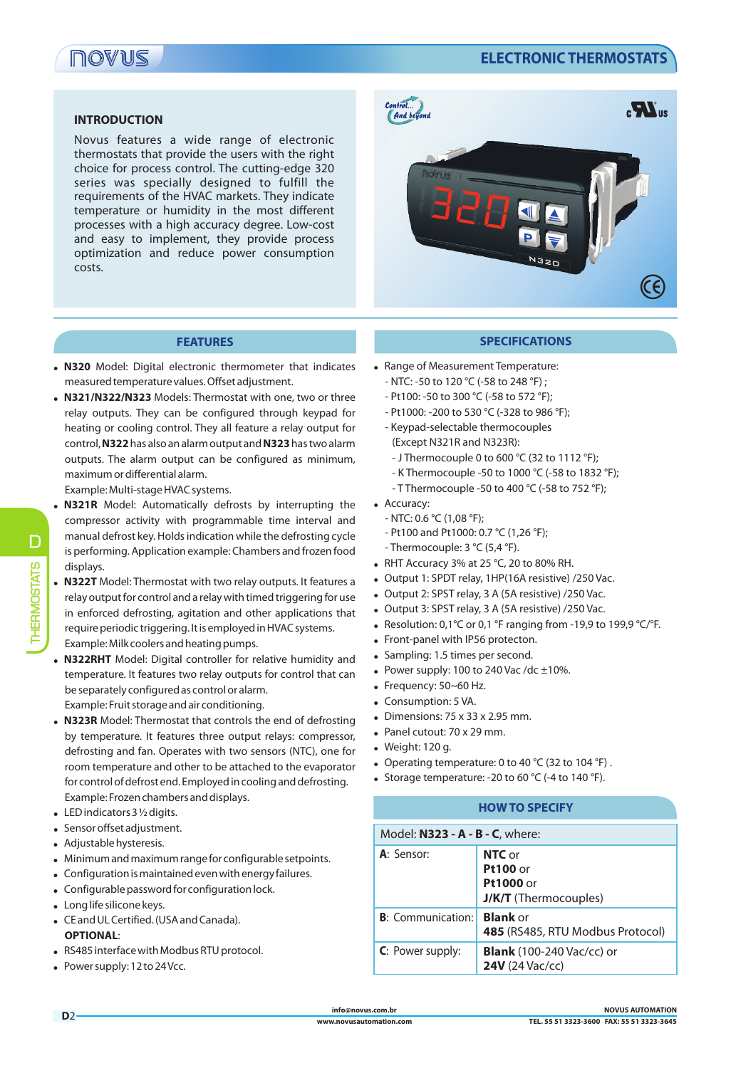# **NOANE**

## **ELECTRONIC THERMOSTATS**

#### **INTRODUCTION**

Novus features a wide range of electronic thermostats that provide the users with the right choice for process control. The cutting-edge 320 series was specially designed to fulfill the requirements of the HVAC markets. They indicate temperature or humidity in the most different processes with a high accuracy degree. Low-cost and easy to implement, they provide process optimization and reduce power consumption costs.



#### **FEATURES**

- ! **N320** Model: Digital electronic thermometer that indicates measured temperature values. Offset adjustment.
- ! **N321/N322/N323** Models: Thermostat with one, two or three relay outputs. They can be configured through keypad for heating or cooling control. They all feature a relay output for control, **N322**has also an alarm output and **N323**has two alarm outputs. The alarm output can be configured as minimum, maximum or differential alarm.

Example: Multi-stage HVAC systems.

- ! **N321R** Model: Automatically defrosts by interrupting the compressor activity with programmable time interval and manual defrost key. Holds indication while the defrosting cycle is performing. Application example: Chambers and frozen food displays.
- ! **N322T** Model: Thermostat with two relay outputs. It features a relay output for control and a relay with timed triggering for use in enforced defrosting, agitation and other applications that require periodic triggering. It is employed in HVAC systems. Example: Milk coolers and heating pumps.
- **N322RHT** Model: Digital controller for relative humidity and temperature. It features two relay outputs for control that can be separately configured as control or alarm.

Example: Fruit storage and air conditioning.

- ! **N323R** Model: Thermostat that controls the end of defrosting by temperature. It features three output relays: compressor, defrosting and fan. Operates with two sensors (NTC), one for room temperature and other to be attached to the evaporator for control of defrost end. Employed in cooling and defrosting. Example: Frozen chambers and displays.
- $\bullet$  LED indicators 3 1/2 digits.
- Sensor offset adjustment.
- Adjustable hysteresis.
- . Minimum and maximum range for configurable setpoints.
- ! Configuration is maintained even with energy failures.
- ! Configurable password for configuration lock.
- Long life silicone keys.
- ! CE and UL Certified. (USA and Canada). **OPTIONAL**:
- . RS485 interface with Modbus RTU protocol.
- Power supply: 12 to 24 Vcc.

#### **SPECIFICATIONS**

- . Range of Measurement Temperature:
	- NTC: -50 to 120 °C (-58 to 248 °F) ;
	- Pt100: -50 to 300 °C (-58 to 572 °F);
	- Pt1000: -200 to 530 °C (-328 to 986 °F);
	- Keypad-selectable thermocouples (Except N321R and N323R):
	-
	- J Thermocouple 0 to 600 °C (32 to 1112 °F);
	- K Thermocouple -50 to 1000 °C (-58 to 1832 °F);
	- T Thermocouple -50 to 400 °C (-58 to 752 °F);
- Accuracy:
	- NTC: 0.6 °C (1,08 °F);
	- Pt100 and Pt1000: 0.7 °C (1,26 °F);
	- Thermocouple: 3 °C (5,4 °F).
- $\bullet$  RHT Accuracy 3% at 25 °C, 20 to 80% RH.
- . Output 1: SPDT relay, 1HP(16A resistive) /250 Vac.
- Output 2: SPST relay, 3 A (5A resistive) /250 Vac.
- Output 3: SPST relay, 3 A (5A resistive) /250 Vac.
- Resolution: 0,1°C or 0,1°F ranging from -19,9 to 199,9 °C/°F.
- Front-panel with IP56 protecton.
- Sampling: 1.5 times per second.
- Power supply: 100 to 240 Vac /dc  $\pm$ 10%.
- $\bullet$  Frequency: 50~60 Hz.
- Consumption: 5 VA.
- $\bullet$  Dimensions: 75 x 33 x 2.95 mm.
- Panel cutout: 70 x 29 mm.
- Weight: 120 g.
- Operating temperature: 0 to 40 °C (32 to 104 °F).
- Storage temperature: -20 to 60  $^{\circ}$ C (-4 to 140  $^{\circ}$ F).

### **HOW TO SPECIFY**

| Model: N323 - A - B - C, where: |                                                                        |
|---------------------------------|------------------------------------------------------------------------|
| A: Sensor:                      | NTC or<br><b>Pt100</b> or<br>Pt1000 or<br><b>J/K/T</b> (Thermocouples) |
| <b>B</b> : Communication:       | <b>Blank</b> or<br>485 (RS485, RTU Modbus Protocol)                    |
| C: Power supply:                | <b>Blank</b> (100-240 Vac/cc) or<br><b>24V</b> (24 Vac/cc)             |